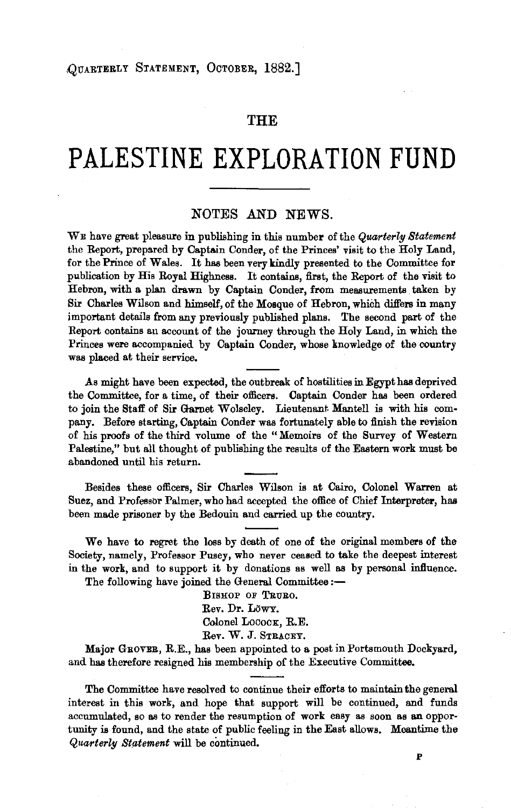## **THE**

## **PALESTINE EXPLORATION FUND**

## NOTES AND NEWS.

WE have great pleasure in publishing in this number of the *Quarterlg Statement*  the Report, prepared by Captain Conder, of the Princes' visit to the Holy Land, for the Prince of Wales. It has been very kindly presented to the Committee for publication by His Royal Highness. It contains, first, the Report of the visit to Hebron, with a plan drawn by Captain Conder, from measurements taken by Sir Charles Wilson and himself, of the Mosque of Hebron, which differs in many important details from any previously published plans. The second part of the Report contains an account of the journey through the Holy Land, in which the Princes were accompanied by Captain Conder, whose knowledge of the country was placed at their service.

As might have been expected, the outbreak of hostilities in Egypt has deprived the Committee, for a time, of their officers. Captain Conder has been ordered to join the Staff of Sir Garnet Wolseley. Lieutenant Mantell is with his company. Before starting, Captain Conder was fortunately able to finish the revision of his proofs of the third volume of the " Memoirs of the Survey of Western Palestine," but all thought of publishing the results of the Eastern work must be abandoned until his return.

Besides these officers, Sir Charles Wilson is at Cairo, Colonel Warren at Suez, and Professor Palmer, who had accepted the office of Chief Interpreter, has been made prisoner by the Bedouin and carried up the country.

We have to regret the loss by death of one of the original members of the Society, namely, Professor Pusey, who never ceased to take the deepest interest in the work, and to support it by donations as well as by personal influence.

The following have joined the General Committee :-

BISHOP OF TRURO. Rev. Dr. LoWY. Colonel Lococx, R.E. Rev. W. J. STRACEY.

Major GROVE&, R.E., has been appointed to a post in Portsmouth Dockyard, and has therefore resigned his membership of the Executive Committee.

The Committee have resolved to continue their efforts to maintain the general interest in this work, and hope that support will be continued, and funds accumulated, so as to render the resumption of work easy as soon as an opportunity is found, and the state of public feeling in the East allows. Meantime the *Quarterlg St,atement* will be continued.